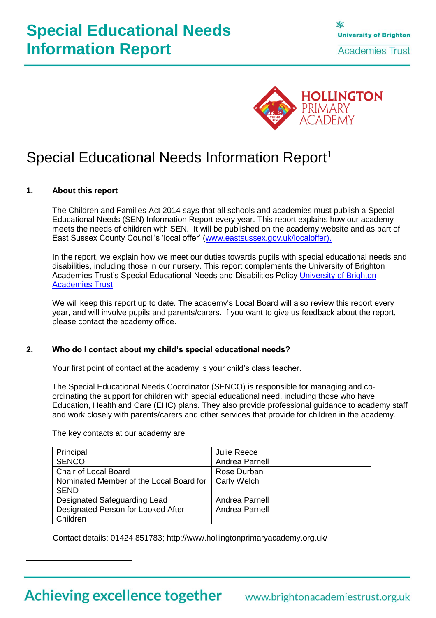

# Special Educational Needs Information Report<sup>1</sup>

### **1. About this report**

The Children and Families Act 2014 says that all schools and academies must publish a Special Educational Needs (SEN) Information Report every year. This report explains how our academy meets the needs of children with SEN. It will be published on the academy website and as part of East Sussex County Council's 'local offer' [\(www.eastsussex.gov.uk/localoffer\)](http://www.eastsussex.gov.uk/localoffer).

In the report, we explain how we meet our duties towards pupils with special educational needs and disabilities, including those in our nursery. This report complements the University of Brighton Academies Trust's Special Educational Needs and Disabilities Policy [University of Brighton](http://www.brightonacademiestrust.org.uk/about/policies)  [Academies Trust](http://www.brightonacademiestrust.org.uk/about/policies)

We will keep this report up to date. The academy's Local Board will also review this report every year, and will involve pupils and parents/carers. If you want to give us feedback about the report, please contact the academy office.

### **2. Who do I contact about my child's special educational needs?**

Your first point of contact at the academy is your child's class teacher.

The Special Educational Needs Coordinator (SENCO) is responsible for managing and coordinating the support for children with special educational need, including those who have Education, Health and Care (EHC) plans. They also provide professional guidance to academy staff and work closely with parents/carers and other services that provide for children in the academy.

| Principal                               | <b>Julie Reece</b> |
|-----------------------------------------|--------------------|
| <b>SENCO</b>                            | Andrea Parnell     |
| Chair of Local Board                    | Rose Durban        |
| Nominated Member of the Local Board for | <b>Carly Welch</b> |
| <b>SEND</b>                             |                    |
| Designated Safeguarding Lead            | Andrea Parnell     |
| Designated Person for Looked After      | Andrea Parnell     |
| Children                                |                    |

The key contacts at our academy are:

Contact details: 01424 851783; http://www.hollingtonprimaryacademy.org.uk/

Achieving excellence together www.brightonacademiestrust.org.uk

 $\overline{a}$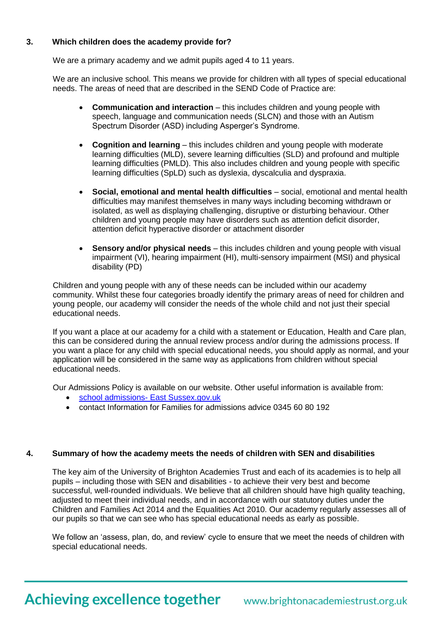# **3. Which children does the academy provide for?**

We are a primary academy and we admit pupils aged 4 to 11 years.

We are an inclusive school. This means we provide for children with all types of special educational needs. The areas of need that are described in the SEND Code of Practice are:

- **Communication and interaction** this includes children and young people with speech, language and communication needs (SLCN) and those with an Autism Spectrum Disorder (ASD) including Asperger's Syndrome.
- **Cognition and learning** this includes children and young people with moderate learning difficulties (MLD), severe learning difficulties (SLD) and profound and multiple learning difficulties (PMLD). This also includes children and young people with specific learning difficulties (SpLD) such as dyslexia, dyscalculia and dyspraxia.
- **Social, emotional and mental health difficulties** social, emotional and mental health difficulties may manifest themselves in many ways including becoming withdrawn or isolated, as well as displaying challenging, disruptive or disturbing behaviour. Other children and young people may have disorders such as attention deficit disorder, attention deficit hyperactive disorder or attachment disorder
- **Sensory and/or physical needs** this includes children and young people with visual impairment (VI), hearing impairment (HI), multi-sensory impairment (MSI) and physical disability (PD)

Children and young people with any of these needs can be included within our academy community. Whilst these four categories broadly identify the primary areas of need for children and young people, our academy will consider the needs of the whole child and not just their special educational needs.

If you want a place at our academy for a child with a statement or Education, Health and Care plan, this can be considered during the annual review process and/or during the admissions process. If you want a place for any child with special educational needs, you should apply as normal, and your application will be considered in the same way as applications from children without special educational needs.

Our Admissions Policy is available on our website. Other useful information is available from:

- school admissions- [East Sussex.gov.uk](http://www.eastsussex.gov.uk/educationandlearning/schools/findingaschool/default.htm)
- contact Information for Families for admissions advice 0345 60 80 192

### **4. Summary of how the academy meets the needs of children with SEN and disabilities**

The key aim of the University of Brighton Academies Trust and each of its academies is to help all pupils – including those with SEN and disabilities - to achieve their very best and become successful, well-rounded individuals. We believe that all children should have high quality teaching, adjusted to meet their individual needs, and in accordance with our statutory duties under the Children and Families Act 2014 and the Equalities Act 2010. Our academy regularly assesses all of our pupils so that we can see who has special educational needs as early as possible.

We follow an 'assess, plan, do, and review' cycle to ensure that we meet the needs of children with special educational needs.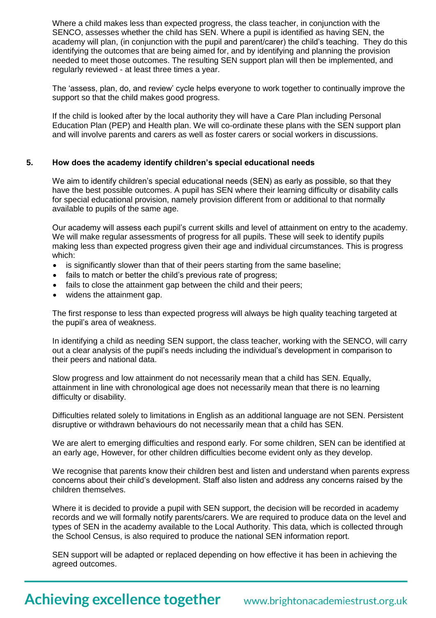Where a child makes less than expected progress, the class teacher, in conjunction with the SENCO, assesses whether the child has SEN. Where a pupil is identified as having SEN, the academy will plan, (in conjunction with the pupil and parent/carer) the child's teaching. They do this identifying the outcomes that are being aimed for, and by identifying and planning the provision needed to meet those outcomes. The resulting SEN support plan will then be implemented, and regularly reviewed - at least three times a year.

The 'assess, plan, do, and review' cycle helps everyone to work together to continually improve the support so that the child makes good progress.

If the child is looked after by the local authority they will have a Care Plan including Personal Education Plan (PEP) and Health plan. We will co-ordinate these plans with the SEN support plan and will involve parents and carers as well as foster carers or social workers in discussions.

#### **5. How does the academy identify children's special educational needs**

We aim to identify children's special educational needs (SEN) as early as possible, so that they have the best possible outcomes. A pupil has SEN where their learning difficulty or disability calls for special educational provision, namely provision different from or additional to that normally available to pupils of the same age.

Our academy will assess each pupil's current skills and level of attainment on entry to the academy. We will make regular assessments of progress for all pupils. These will seek to identify pupils making less than expected progress given their age and individual circumstances. This is progress which:

- is significantly slower than that of their peers starting from the same baseline;
- fails to match or better the child's previous rate of progress;
- fails to close the attainment gap between the child and their peers;
- widens the attainment gap.

The first response to less than expected progress will always be high quality teaching targeted at the pupil's area of weakness.

In identifying a child as needing SEN support, the class teacher, working with the SENCO, will carry out a clear analysis of the pupil's needs including the individual's development in comparison to their peers and national data.

Slow progress and low attainment do not necessarily mean that a child has SEN. Equally, attainment in line with chronological age does not necessarily mean that there is no learning difficulty or disability.

Difficulties related solely to limitations in English as an additional language are not SEN. Persistent disruptive or withdrawn behaviours do not necessarily mean that a child has SEN.

We are alert to emerging difficulties and respond early. For some children, SEN can be identified at an early age, However, for other children difficulties become evident only as they develop.

We recognise that parents know their children best and listen and understand when parents express concerns about their child's development. Staff also listen and address any concerns raised by the children themselves.

Where it is decided to provide a pupil with SEN support, the decision will be recorded in academy records and we will formally notify parents/carers. We are required to produce data on the level and types of SEN in the academy available to the Local Authority. This data, which is collected through the School Census, is also required to produce the national SEN information report.

SEN support will be adapted or replaced depending on how effective it has been in achieving the agreed outcomes.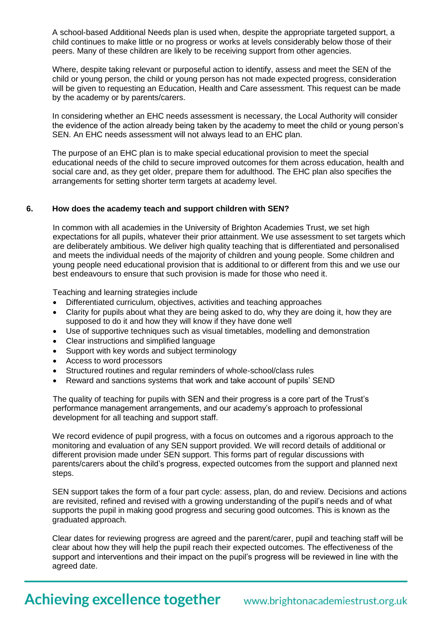A school-based Additional Needs plan is used when, despite the appropriate targeted support, a child continues to make little or no progress or works at levels considerably below those of their peers. Many of these children are likely to be receiving support from other agencies.

Where, despite taking relevant or purposeful action to identify, assess and meet the SEN of the child or young person, the child or young person has not made expected progress, consideration will be given to requesting an Education, Health and Care assessment. This request can be made by the academy or by parents/carers.

In considering whether an EHC needs assessment is necessary, the Local Authority will consider the evidence of the action already being taken by the academy to meet the child or young person's SEN. An EHC needs assessment will not always lead to an EHC plan.

The purpose of an EHC plan is to make special educational provision to meet the special educational needs of the child to secure improved outcomes for them across education, health and social care and, as they get older, prepare them for adulthood. The EHC plan also specifies the arrangements for setting shorter term targets at academy level.

### **6. How does the academy teach and support children with SEN?**

In common with all academies in the University of Brighton Academies Trust, we set high expectations for all pupils, whatever their prior attainment. We use assessment to set targets which are deliberately ambitious. We deliver high quality teaching that is differentiated and personalised and meets the individual needs of the majority of children and young people. Some children and young people need educational provision that is additional to or different from this and we use our best endeavours to ensure that such provision is made for those who need it.

Teaching and learning strategies include

- Differentiated curriculum, objectives, activities and teaching approaches
- Clarity for pupils about what they are being asked to do, why they are doing it, how they are supposed to do it and how they will know if they have done well
- Use of supportive techniques such as visual timetables, modelling and demonstration
- Clear instructions and simplified language
- Support with key words and subject terminology
- Access to word processors
- Structured routines and regular reminders of whole-school/class rules
- Reward and sanctions systems that work and take account of pupils' SEND

The quality of teaching for pupils with SEN and their progress is a core part of the Trust's performance management arrangements, and our academy's approach to professional development for all teaching and support staff.

We record evidence of pupil progress, with a focus on outcomes and a rigorous approach to the monitoring and evaluation of any SEN support provided. We will record details of additional or different provision made under SEN support. This forms part of regular discussions with parents/carers about the child's progress, expected outcomes from the support and planned next steps.

SEN support takes the form of a four part cycle: assess, plan, do and review. Decisions and actions are revisited, refined and revised with a growing understanding of the pupil's needs and of what supports the pupil in making good progress and securing good outcomes. This is known as the graduated approach.

Clear dates for reviewing progress are agreed and the parent/carer, pupil and teaching staff will be clear about how they will help the pupil reach their expected outcomes. The effectiveness of the support and interventions and their impact on the pupil's progress will be reviewed in line with the agreed date.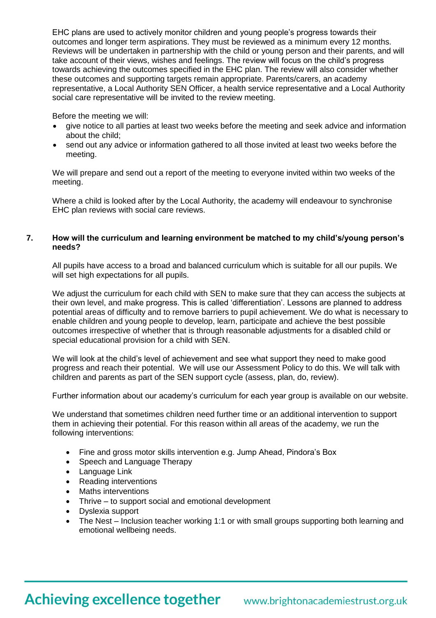EHC plans are used to actively monitor children and young people's progress towards their outcomes and longer term aspirations. They must be reviewed as a minimum every 12 months. Reviews will be undertaken in partnership with the child or young person and their parents, and will take account of their views, wishes and feelings. The review will focus on the child's progress towards achieving the outcomes specified in the EHC plan. The review will also consider whether these outcomes and supporting targets remain appropriate. Parents/carers, an academy representative, a Local Authority SEN Officer, a health service representative and a Local Authority social care representative will be invited to the review meeting.

Before the meeting we will:

- give notice to all parties at least two weeks before the meeting and seek advice and information about the child;
- send out any advice or information gathered to all those invited at least two weeks before the meeting.

We will prepare and send out a report of the meeting to everyone invited within two weeks of the meeting.

Where a child is looked after by the Local Authority, the academy will endeavour to synchronise EHC plan reviews with social care reviews.

### **7. How will the curriculum and learning environment be matched to my child's/young person's needs?**

All pupils have access to a broad and balanced curriculum which is suitable for all our pupils. We will set high expectations for all pupils.

We adjust the curriculum for each child with SEN to make sure that they can access the subjects at their own level, and make progress. This is called 'differentiation'. Lessons are planned to address potential areas of difficulty and to remove barriers to pupil achievement. We do what is necessary to enable children and young people to develop, learn, participate and achieve the best possible outcomes irrespective of whether that is through reasonable adjustments for a disabled child or special educational provision for a child with SEN.

We will look at the child's level of achievement and see what support they need to make good progress and reach their potential. We will use our Assessment Policy to do this. We will talk with children and parents as part of the SEN support cycle (assess, plan, do, review).

Further information about our academy's curriculum for each year group is available on our website.

We understand that sometimes children need further time or an additional intervention to support them in achieving their potential. For this reason within all areas of the academy, we run the following interventions:

- Fine and gross motor skills intervention e.g. Jump Ahead, Pindora's Box
- Speech and Language Therapy
- Language Link
- Reading interventions
- Maths interventions
- Thrive to support social and emotional development
- Dyslexia support
- The Nest Inclusion teacher working 1:1 or with small groups supporting both learning and emotional wellbeing needs.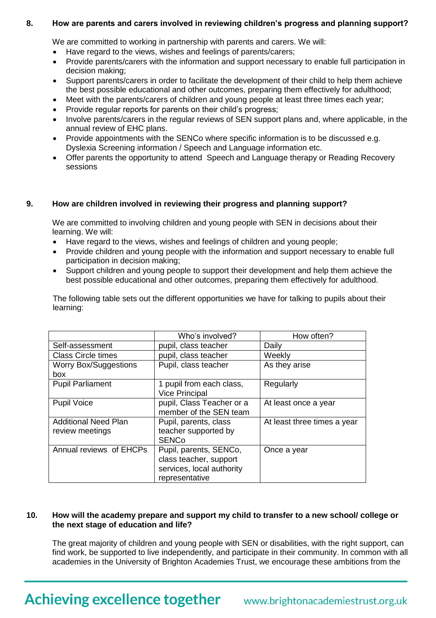### **8. How are parents and carers involved in reviewing children's progress and planning support?**

We are committed to working in partnership with parents and carers. We will:

- Have regard to the views, wishes and feelings of parents/carers;
- Provide parents/carers with the information and support necessary to enable full participation in decision making;
- Support parents/carers in order to facilitate the development of their child to help them achieve the best possible educational and other outcomes, preparing them effectively for adulthood;
- Meet with the parents/carers of children and young people at least three times each year;
- Provide regular reports for parents on their child's progress;
- Involve parents/carers in the regular reviews of SEN support plans and, where applicable, in the annual review of EHC plans.
- Provide appointments with the SENCo where specific information is to be discussed e.g. Dyslexia Screening information / Speech and Language information etc.
- Offer parents the opportunity to attend Speech and Language therapy or Reading Recovery sessions

### **9. How are children involved in reviewing their progress and planning support?**

We are committed to involving children and young people with SEN in decisions about their learning. We will:

- Have regard to the views, wishes and feelings of children and young people;
- Provide children and young people with the information and support necessary to enable full participation in decision making;
- Support children and young people to support their development and help them achieve the best possible educational and other outcomes, preparing them effectively for adulthood.

The following table sets out the different opportunities we have for talking to pupils about their learning:

|                              | Who's involved?           | How often?                  |
|------------------------------|---------------------------|-----------------------------|
| Self-assessment              | pupil, class teacher      | Daily                       |
| <b>Class Circle times</b>    | pupil, class teacher      | Weekly                      |
| <b>Worry Box/Suggestions</b> | Pupil, class teacher      | As they arise               |
| box                          |                           |                             |
| <b>Pupil Parliament</b>      | 1 pupil from each class,  | Regularly                   |
|                              | <b>Vice Principal</b>     |                             |
| <b>Pupil Voice</b>           | pupil, Class Teacher or a | At least once a year        |
|                              | member of the SEN team    |                             |
| <b>Additional Need Plan</b>  | Pupil, parents, class     | At least three times a year |
| review meetings              | teacher supported by      |                             |
|                              | <b>SENCo</b>              |                             |
| Annual reviews of EHCPs      | Pupil, parents, SENCo,    | Once a year                 |
|                              | class teacher, support    |                             |
|                              | services, local authority |                             |
|                              | representative            |                             |

#### **10. How will the academy prepare and support my child to transfer to a new school/ college or the next stage of education and life?**

The great majority of children and young people with SEN or disabilities, with the right support, can find work, be supported to live independently, and participate in their community. In common with all academies in the University of Brighton Academies Trust, we encourage these ambitions from the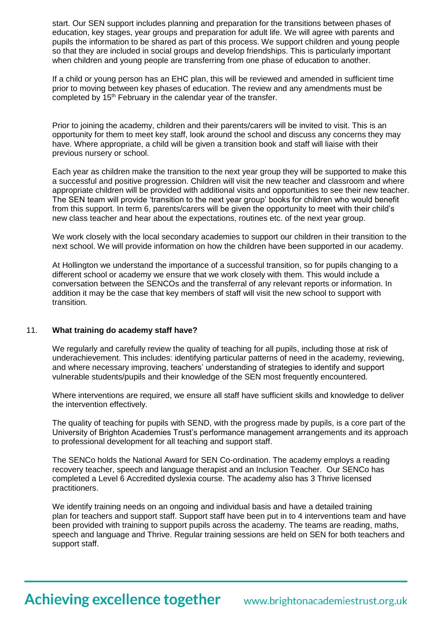start. Our SEN support includes planning and preparation for the transitions between phases of education, key stages, year groups and preparation for adult life. We will agree with parents and pupils the information to be shared as part of this process. We support children and young people so that they are included in social groups and develop friendships. This is particularly important when children and young people are transferring from one phase of education to another.

If a child or young person has an EHC plan, this will be reviewed and amended in sufficient time prior to moving between key phases of education. The review and any amendments must be completed by 15<sup>th</sup> February in the calendar year of the transfer.

Prior to joining the academy, children and their parents/carers will be invited to visit. This is an opportunity for them to meet key staff, look around the school and discuss any concerns they may have. Where appropriate, a child will be given a transition book and staff will liaise with their previous nursery or school.

Each year as children make the transition to the next year group they will be supported to make this a successful and positive progression. Children will visit the new teacher and classroom and where appropriate children will be provided with additional visits and opportunities to see their new teacher. The SEN team will provide 'transition to the next year group' books for children who would benefit from this support. In term 6, parents/carers will be given the opportunity to meet with their child's new class teacher and hear about the expectations, routines etc. of the next year group.

We work closely with the local secondary academies to support our children in their transition to the next school. We will provide information on how the children have been supported in our academy.

At Hollington we understand the importance of a successful transition, so for pupils changing to a different school or academy we ensure that we work closely with them. This would include a conversation between the SENCOs and the transferral of any relevant reports or information. In addition it may be the case that key members of staff will visit the new school to support with transition.

#### 11. **What training do academy staff have?**

We regularly and carefully review the quality of teaching for all pupils, including those at risk of underachievement. This includes: identifying particular patterns of need in the academy, reviewing, and where necessary improving, teachers' understanding of strategies to identify and support vulnerable students/pupils and their knowledge of the SEN most frequently encountered.

Where interventions are required, we ensure all staff have sufficient skills and knowledge to deliver the intervention effectively.

The quality of teaching for pupils with SEND, with the progress made by pupils, is a core part of the University of Brighton Academies Trust's performance management arrangements and its approach to professional development for all teaching and support staff.

The SENCo holds the National Award for SEN Co-ordination. The academy employs a reading recovery teacher, speech and language therapist and an Inclusion Teacher. Our SENCo has completed a Level 6 Accredited dyslexia course. The academy also has 3 Thrive licensed practitioners.

We identify training needs on an ongoing and individual basis and have a detailed training plan for teachers and support staff. Support staff have been put in to 4 interventions team and have been provided with training to support pupils across the academy. The teams are reading, maths, speech and language and Thrive. Regular training sessions are held on SEN for both teachers and support staff.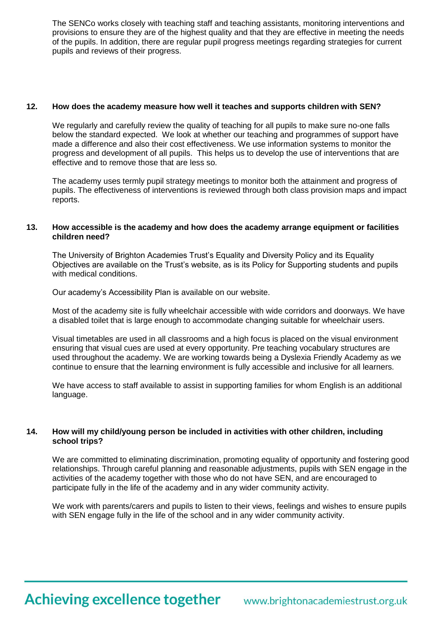The SENCo works closely with teaching staff and teaching assistants, monitoring interventions and provisions to ensure they are of the highest quality and that they are effective in meeting the needs of the pupils. In addition, there are regular pupil progress meetings regarding strategies for current pupils and reviews of their progress.

#### **12. How does the academy measure how well it teaches and supports children with SEN?**

We regularly and carefully review the quality of teaching for all pupils to make sure no-one falls below the standard expected. We look at whether our teaching and programmes of support have made a difference and also their cost effectiveness. We use information systems to monitor the progress and development of all pupils. This helps us to develop the use of interventions that are effective and to remove those that are less so.

The academy uses termly pupil strategy meetings to monitor both the attainment and progress of pupils. The effectiveness of interventions is reviewed through both class provision maps and impact reports.

#### **13. How accessible is the academy and how does the academy arrange equipment or facilities children need?**

The University of Brighton Academies Trust's Equality and Diversity Policy and its Equality Objectives are available on the Trust's website, as is its Policy for Supporting students and pupils with medical conditions.

Our academy's Accessibility Plan is available on our website.

Most of the academy site is fully wheelchair accessible with wide corridors and doorways. We have a disabled toilet that is large enough to accommodate changing suitable for wheelchair users.

Visual timetables are used in all classrooms and a high focus is placed on the visual environment ensuring that visual cues are used at every opportunity. Pre teaching vocabulary structures are used throughout the academy. We are working towards being a Dyslexia Friendly Academy as we continue to ensure that the learning environment is fully accessible and inclusive for all learners.

We have access to staff available to assist in supporting families for whom English is an additional language.

#### **14. How will my child/young person be included in activities with other children, including school trips?**

We are committed to eliminating discrimination, promoting equality of opportunity and fostering good relationships. Through careful planning and reasonable adjustments, pupils with SEN engage in the activities of the academy together with those who do not have SEN, and are encouraged to participate fully in the life of the academy and in any wider community activity.

We work with parents/carers and pupils to listen to their views, feelings and wishes to ensure pupils with SEN engage fully in the life of the school and in any wider community activity.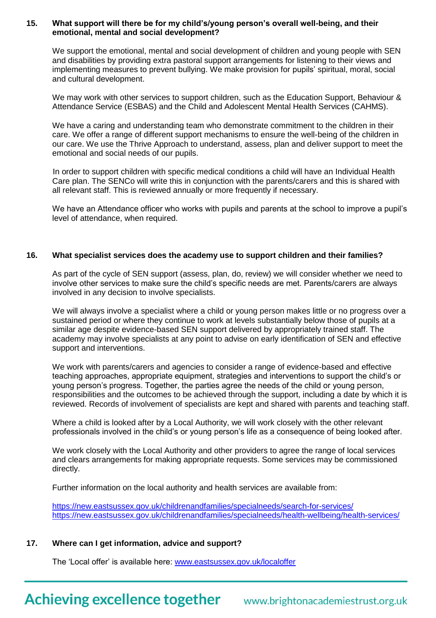#### **15. What support will there be for my child's/young person's overall well-being, and their emotional, mental and social development?**

We support the emotional, mental and social development of children and young people with SEN and disabilities by providing extra pastoral support arrangements for listening to their views and implementing measures to prevent bullying. We make provision for pupils' spiritual, moral, social and cultural development.

We may work with other services to support children, such as the [Education Support, Behaviour &](http://www.google.co.uk/url?sa=t&rct=j&q=&esrc=s&frm=1&source=web&cd=1&cad=rja&uact=8&ved=0CCEQFjAA&url=http%3A%2F%2Fwww.escis.org.uk%2Fgovernment-and-local-services%2Feducation-support-behaviour-attendance-service%2F&ei=lhOdVY6LGcWwsAHE1If4Dg&usg=AFQjCNFOFoHAoQiiMfCM5E9tzu6R2c-Wvg&bvm=bv.96952980,d.ZGU)  [Attendance Service \(ESBAS\)](http://www.google.co.uk/url?sa=t&rct=j&q=&esrc=s&frm=1&source=web&cd=1&cad=rja&uact=8&ved=0CCEQFjAA&url=http%3A%2F%2Fwww.escis.org.uk%2Fgovernment-and-local-services%2Feducation-support-behaviour-attendance-service%2F&ei=lhOdVY6LGcWwsAHE1If4Dg&usg=AFQjCNFOFoHAoQiiMfCM5E9tzu6R2c-Wvg&bvm=bv.96952980,d.ZGU) and the Child and Adolescent Mental Health Services (CAHMS).

We have a caring and understanding team who demonstrate commitment to the children in their care. We offer a range of different support mechanisms to ensure the well-being of the children in our care. We use the Thrive Approach to understand, assess, plan and deliver support to meet the emotional and social needs of our pupils.

In order to support children with specific medical conditions a child will have an Individual Health Care plan. The SENCo will write this in conjunction with the parents/carers and this is shared with all relevant staff. This is reviewed annually or more frequently if necessary.

We have an Attendance officer who works with pupils and parents at the school to improve a pupil's level of attendance, when required.

#### **16. What specialist services does the academy use to support children and their families?**

As part of the cycle of SEN support (assess, plan, do, review) we will consider whether we need to involve other services to make sure the child's specific needs are met. Parents/carers are always involved in any decision to involve specialists.

We will always involve a specialist where a child or young person makes little or no progress over a sustained period or where they continue to work at levels substantially below those of pupils at a similar age despite evidence-based SEN support delivered by appropriately trained staff. The academy may involve specialists at any point to advise on early identification of SEN and effective support and interventions.

We work with parents/carers and agencies to consider a range of evidence-based and effective teaching approaches, appropriate equipment, strategies and interventions to support the child's or young person's progress. Together, the parties agree the needs of the child or young person, responsibilities and the outcomes to be achieved through the support, including a date by which it is reviewed. Records of involvement of specialists are kept and shared with parents and teaching staff.

Where a child is looked after by a Local Authority, we will work closely with the other relevant professionals involved in the child's or young person's life as a consequence of being looked after.

We work closely with the Local Authority and other providers to agree the range of local services and clears arrangements for making appropriate requests. Some services may be commissioned directly.

Further information on the local authority and health services are available from:

<https://new.eastsussex.gov.uk/childrenandfamilies/specialneeds/search-for-services/> <https://new.eastsussex.gov.uk/childrenandfamilies/specialneeds/health-wellbeing/health-services/>

# **17. Where can I get information, advice and support?**

The 'Local offer' is available here: [www.eastsussex.gov.uk/localoffer](http://www.eastsussex.gov.uk/localoffer)